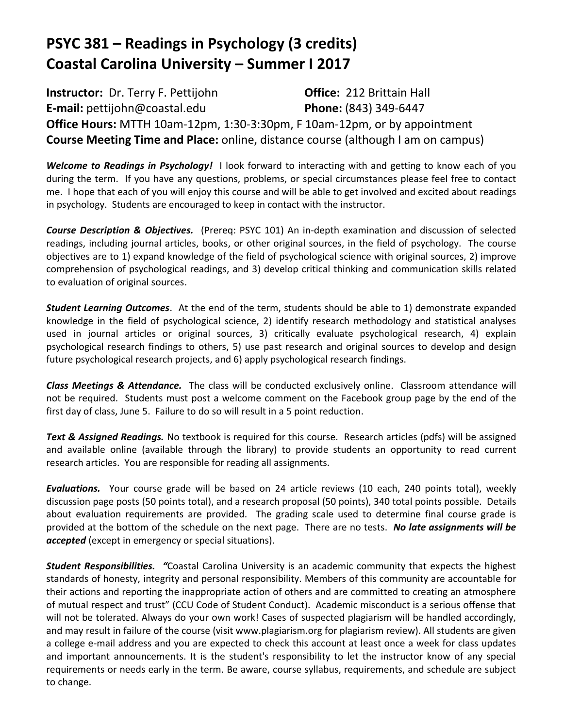# **PSYC 381 – Readings in Psychology (3 credits) Coastal Carolina University – Summer I 2017**

**Instructor:** Dr. Terry F. Pettijohn **Office:** 212 Brittain Hall **E-mail:** pettijohn@coastal.edu **Phone:** (843) 349-6447 **Office Hours:** MTTH 10am-12pm, 1:30-3:30pm, F 10am-12pm, or by appointment **Course Meeting Time and Place:** online, distance course (although I am on campus)

*Welcome to Readings in Psychology!* I look forward to interacting with and getting to know each of you during the term. If you have any questions, problems, or special circumstances please feel free to contact me. I hope that each of you will enjoy this course and will be able to get involved and excited about readings in psychology. Students are encouraged to keep in contact with the instructor.

*Course Description & Objectives.*(Prereq: PSYC 101) An in-depth examination and discussion of selected readings, including journal articles, books, or other original sources, in the field of psychology. The course objectives are to 1) expand knowledge of the field of psychological science with original sources, 2) improve comprehension of psychological readings, and 3) develop critical thinking and communication skills related to evaluation of original sources.

*Student Learning Outcomes*. At the end of the term, students should be able to 1) demonstrate expanded knowledge in the field of psychological science, 2) identify research methodology and statistical analyses used in journal articles or original sources, 3) critically evaluate psychological research, 4) explain psychological research findings to others, 5) use past research and original sources to develop and design future psychological research projects, and 6) apply psychological research findings.

*Class Meetings & Attendance.* The class will be conducted exclusively online. Classroom attendance will not be required. Students must post a welcome comment on the Facebook group page by the end of the first day of class, June 5. Failure to do so will result in a 5 point reduction.

*Text & Assigned Readings.* No textbook is required for this course. Research articles (pdfs) will be assigned and available online (available through the library) to provide students an opportunity to read current research articles. You are responsible for reading all assignments.

*Evaluations.* Your course grade will be based on 24 article reviews (10 each, 240 points total), weekly discussion page posts (50 points total), and a research proposal (50 points), 340 total points possible. Details about evaluation requirements are provided. The grading scale used to determine final course grade is provided at the bottom of the schedule on the next page. There are no tests. *No late assignments will be accepted* (except in emergency or special situations).

*Student Responsibilities. "*Coastal Carolina University is an academic community that expects the highest standards of honesty, integrity and personal responsibility. Members of this community are accountable for their actions and reporting the inappropriate action of others and are committed to creating an atmosphere of mutual respect and trust" (CCU Code of Student Conduct). Academic misconduct is a serious offense that will not be tolerated. Always do your own work! Cases of suspected plagiarism will be handled accordingly, and may result in failure of the course (visit www.plagiarism.org for plagiarism review). All students are given a college e-mail address and you are expected to check this account at least once a week for class updates and important announcements. It is the student's responsibility to let the instructor know of any special requirements or needs early in the term. Be aware, course syllabus, requirements, and schedule are subject to change.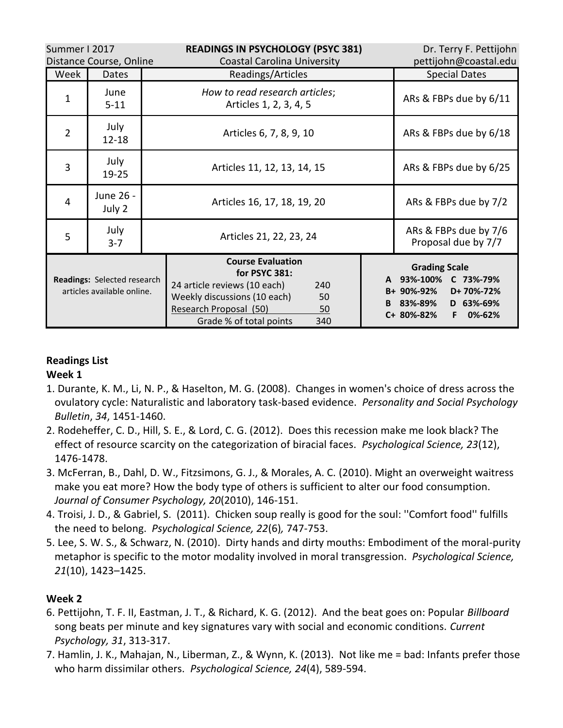| Summer I 2017<br>Distance Course, Online                  |                     |                                                          | <b>READINGS IN PSYCHOLOGY (PSYC 381)</b><br><b>Coastal Carolina University</b>                                                                                                           |                                              | Dr. Terry F. Pettijohn<br>pettijohn@coastal.edu                                                                                   |
|-----------------------------------------------------------|---------------------|----------------------------------------------------------|------------------------------------------------------------------------------------------------------------------------------------------------------------------------------------------|----------------------------------------------|-----------------------------------------------------------------------------------------------------------------------------------|
| Week                                                      | <b>Dates</b>        |                                                          | Readings/Articles                                                                                                                                                                        |                                              | <b>Special Dates</b>                                                                                                              |
| 1                                                         | June<br>$5 - 11$    | How to read research articles;<br>Articles 1, 2, 3, 4, 5 |                                                                                                                                                                                          | ARs & FBPs due by 6/11                       |                                                                                                                                   |
| $\overline{2}$                                            | July<br>$12 - 18$   | Articles 6, 7, 8, 9, 10                                  |                                                                                                                                                                                          |                                              | ARs & FBPs due by 6/18                                                                                                            |
| 3                                                         | July<br>$19 - 25$   | Articles 11, 12, 13, 14, 15                              |                                                                                                                                                                                          |                                              | ARs & FBPs due by 6/25                                                                                                            |
| 4                                                         | June 26 -<br>July 2 | Articles 16, 17, 18, 19, 20                              |                                                                                                                                                                                          |                                              | ARs & FBPs due by 7/2                                                                                                             |
| 5                                                         | July<br>$3 - 7$     | Articles 21, 22, 23, 24                                  |                                                                                                                                                                                          | ARs & FBPs due by 7/6<br>Proposal due by 7/7 |                                                                                                                                   |
| Readings: Selected research<br>articles available online. |                     |                                                          | <b>Course Evaluation</b><br>for PSYC 381:<br>24 article reviews (10 each)<br>240<br>Weekly discussions (10 each)<br>50<br>Research Proposal (50)<br>50<br>Grade % of total points<br>340 |                                              | <b>Grading Scale</b><br>A 93%-100%<br>C 73%-79%<br>B+ 90%-92%<br>D+70%-72%<br>B 83%-89%<br>D 63%-69%<br>0%-62%<br>C+ 80%-82%<br>F |

## **Readings List**

## **Week 1**

- 1. Durante, K. M., Li, N. P., & Haselton, M. G. (2008). Changes in women's choice of dress across the ovulatory cycle: Naturalistic and laboratory task-based evidence. *Personality and Social Psychology Bulletin*, *34*, 1451-1460.
- 2. Rodeheffer, C. D., Hill, S. E., & Lord, C. G. (2012). Does this recession make me look black? The effect of resource scarcity on the categorization of biracial faces. *Psychological Science, 23*(12), 1476-1478.
- 3. McFerran, B., Dahl, D. W., Fitzsimons, G. J., & Morales, A. C. (2010). Might an overweight waitress make you eat more? How the body type of others is sufficient to alter our food consumption. *Journal of Consumer Psychology, 20*(2010), 146-151.
- 4. Troisi, J. D., & Gabriel, S. (2011). Chicken soup really is good for the soul: ''Comfort food'' fulfills the need to belong. *Psychological Science, 22*(6)*,* 747-753.
- 5. Lee, S. W. S., & Schwarz, N. (2010). Dirty hands and dirty mouths: Embodiment of the moral-purity metaphor is specific to the motor modality involved in moral transgression. *Psychological Science, 21*(10), 1423–1425.

## **Week 2**

- 6. Pettijohn, T. F. II, Eastman, J. T., & Richard, K. G. (2012). And the beat goes on: Popular *Billboard* song beats per minute and key signatures vary with social and economic conditions. *Current Psychology, 31*, 313-317.
- 7. Hamlin, J. K., Mahajan, N., Liberman, Z., & Wynn, K. (2013). Not like me = bad: Infants prefer those who harm dissimilar others. *Psychological Science, 24*(4), 589-594.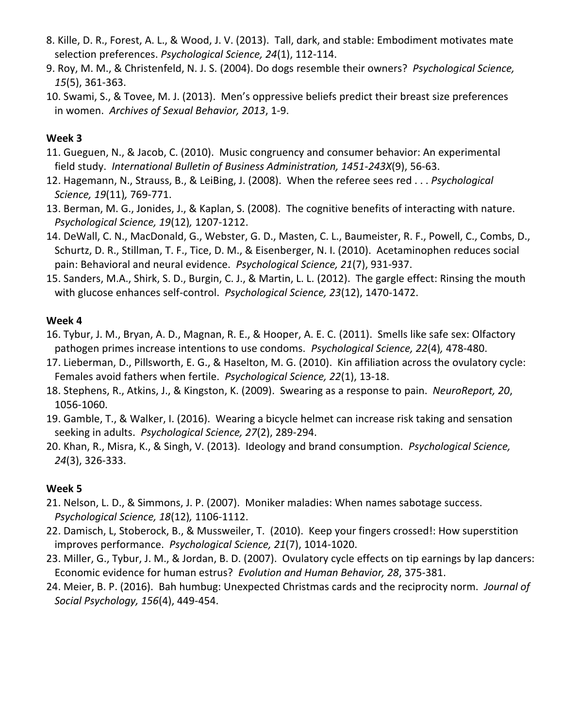- 8. Kille, D. R., Forest, A. L., & Wood, J. V. (2013). Tall, dark, and stable: Embodiment motivates mate selection preferences. *Psychological Science, 24*(1), 112-114.
- 9. Roy, M. M., & Christenfeld, N. J. S. (2004). Do dogs resemble their owners? *Psychological Science, 15*(5), 361-363.
- 10. Swami, S., & Tovee, M. J. (2013). Men's oppressive beliefs predict their breast size preferences in women. *Archives of Sexual Behavior, 2013*, 1-9.

#### **Week 3**

- 11. Gueguen, N., & Jacob, C. (2010). Music congruency and consumer behavior: An experimental field study. *International Bulletin of Business Administration, 1451-243X*(9), 56-63.
- 12. Hagemann, N., Strauss, B., & LeiBing, J. (2008). When the referee sees red . . . *Psychological Science, 19*(11)*,* 769-771.
- 13. Berman, M. G., Jonides, J., & Kaplan, S. (2008). The cognitive benefits of interacting with nature. *Psychological Science, 19*(12)*,* 1207-1212.
- 14. DeWall, C. N., MacDonald, G., Webster, G. D., Masten, C. L., Baumeister, R. F., Powell, C., Combs, D., Schurtz, D. R., Stillman, T. F., Tice, D. M., & Eisenberger, N. I. (2010). Acetaminophen reduces social pain: Behavioral and neural evidence. *Psychological Science, 21*(7), 931-937.
- 15. Sanders, M.A., Shirk, S. D., Burgin, C. J., & Martin, L. L. (2012). The gargle effect: Rinsing the mouth with glucose enhances self-control. *Psychological Science, 23*(12), 1470-1472.

#### **Week 4**

- 16. Tybur, J. M., Bryan, A. D., Magnan, R. E., & Hooper, A. E. C. (2011). Smells like safe sex: Olfactory pathogen primes increase intentions to use condoms. *Psychological Science, 22*(4)*,* 478-480.
- 17. Lieberman, D., Pillsworth, E. G., & Haselton, M. G. (2010). Kin affiliation across the ovulatory cycle: Females avoid fathers when fertile. *Psychological Science, 22*(1), 13-18.
- 18. Stephens, R., Atkins, J., & Kingston, K. (2009). Swearing as a response to pain. *NeuroReport, 20*, 1056-1060.
- 19. Gamble, T., & Walker, I. (2016). Wearing a bicycle helmet can increase risk taking and sensation seeking in adults. *Psychological Science, 27*(2), 289-294.
- 20. Khan, R., Misra, K., & Singh, V. (2013). Ideology and brand consumption. *Psychological Science, 24*(3), 326-333.

## **Week 5**

- 21. Nelson, L. D., & Simmons, J. P. (2007). Moniker maladies: When names sabotage success. *Psychological Science, 18*(12)*,* 1106-1112.
- 22. Damisch, L, Stoberock, B., & Mussweiler, T. (2010). Keep your fingers crossed!: How superstition improves performance. *Psychological Science, 21*(7), 1014-1020.
- 23. Miller, G., Tybur, J. M., & Jordan, B. D. (2007). Ovulatory cycle effects on tip earnings by lap dancers: Economic evidence for human estrus? *Evolution and Human Behavior, 28*, 375-381.
- 24. Meier, B. P. (2016). Bah humbug: Unexpected Christmas cards and the reciprocity norm. *Journal of Social Psychology, 156*(4), 449-454.